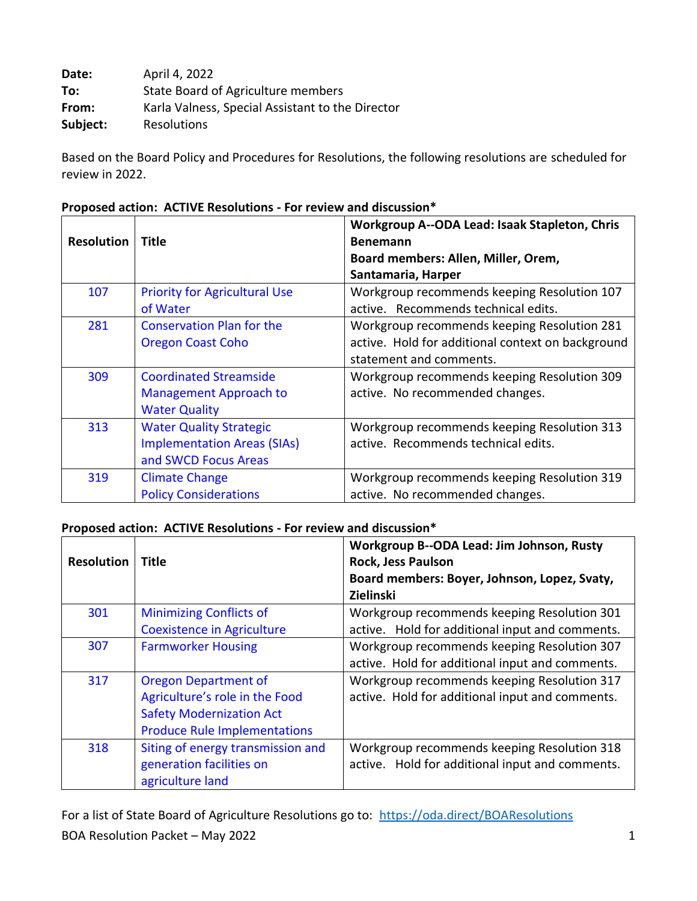**Date:** April 4, 2022 **To:** State Board of Agriculture members **From:** Karla Valness, Special Assistant to the Director **Subject:** Resolutions

Based on the Board Policy and Procedures for Resolutions, the following resolutions are scheduled for review in 2022.

|                   |                                      | Workgroup A--ODA Lead: Isaak Stapleton, Chris     |
|-------------------|--------------------------------------|---------------------------------------------------|
| <b>Resolution</b> | <b>Title</b>                         | <b>Benemann</b>                                   |
|                   |                                      | Board members: Allen, Miller, Orem,               |
|                   |                                      | Santamaria, Harper                                |
| 107               | <b>Priority for Agricultural Use</b> | Workgroup recommends keeping Resolution 107       |
|                   | of Water                             | active. Recommends technical edits.               |
| 281               | <b>Conservation Plan for the</b>     | Workgroup recommends keeping Resolution 281       |
|                   | <b>Oregon Coast Coho</b>             | active. Hold for additional context on background |
|                   |                                      | statement and comments.                           |
| 309               | <b>Coordinated Streamside</b>        | Workgroup recommends keeping Resolution 309       |
|                   | <b>Management Approach to</b>        | active. No recommended changes.                   |
|                   | <b>Water Quality</b>                 |                                                   |
| 313               | <b>Water Quality Strategic</b>       | Workgroup recommends keeping Resolution 313       |
|                   | <b>Implementation Areas (SIAs)</b>   | active. Recommends technical edits.               |
|                   | and SWCD Focus Areas                 |                                                   |
| 319               | <b>Climate Change</b>                | Workgroup recommends keeping Resolution 319       |
|                   | <b>Policy Considerations</b>         | active. No recommended changes.                   |

### **Proposed action: ACTIVE Resolutions - For review and discussion\***

### **Proposed action: ACTIVE Resolutions - For review and discussion\***

| <b>Resolution</b> | Title                                                                                                                                   | Workgroup B--ODA Lead: Jim Johnson, Rusty<br><b>Rock, Jess Paulson</b><br>Board members: Boyer, Johnson, Lopez, Svaty,<br>Zielinski |
|-------------------|-----------------------------------------------------------------------------------------------------------------------------------------|-------------------------------------------------------------------------------------------------------------------------------------|
| 301               | <b>Minimizing Conflicts of</b>                                                                                                          | Workgroup recommends keeping Resolution 301                                                                                         |
|                   | <b>Coexistence in Agriculture</b>                                                                                                       | active. Hold for additional input and comments.                                                                                     |
| 307               | <b>Farmworker Housing</b>                                                                                                               | Workgroup recommends keeping Resolution 307<br>active. Hold for additional input and comments.                                      |
| 317               | <b>Oregon Department of</b><br>Agriculture's role in the Food<br><b>Safety Modernization Act</b><br><b>Produce Rule Implementations</b> | Workgroup recommends keeping Resolution 317<br>active. Hold for additional input and comments.                                      |
| 318               | Siting of energy transmission and<br>generation facilities on<br>agriculture land                                                       | Workgroup recommends keeping Resolution 318<br>active. Hold for additional input and comments.                                      |

BOA Resolution Packet – May 2022 1 For a list of State Board of Agriculture Resolutions go to: https://oda.direct/BOAResolutions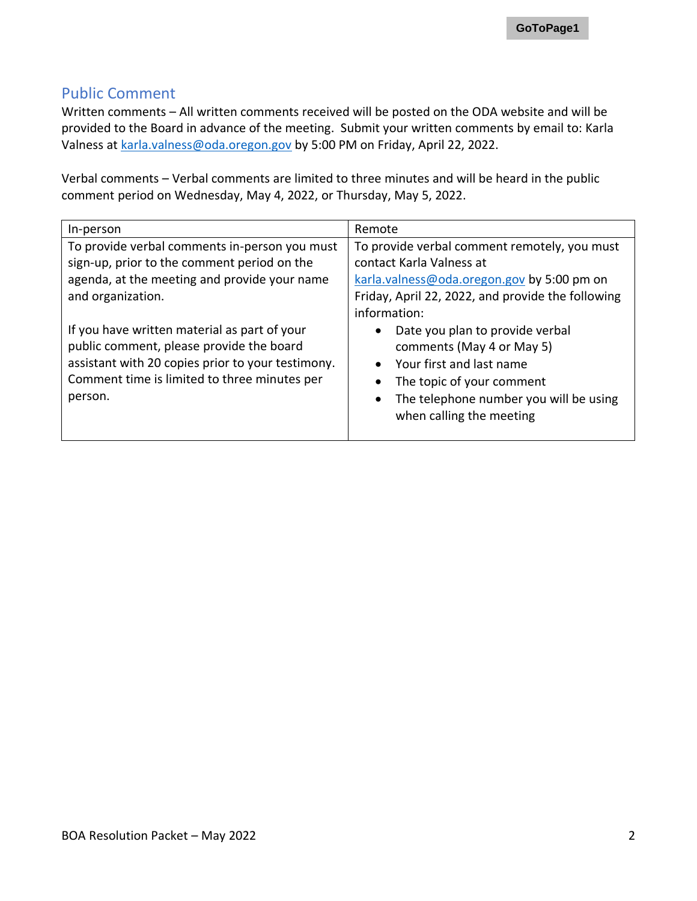### Public Comment

Written comments – All written comments received will be posted on the ODA website and will be provided to the Board in advance of the meeting. Submit your written comments by email to: Karla Valness at karla.valness@oda.oregon.gov by 5:00 PM on Friday, April 22, 2022.

Verbal comments – Verbal comments are limited to three minutes and will be heard in the public comment period on Wednesday, May 4, 2022, or Thursday, May 5, 2022.

| In-person                                                                                                                                                                                                | Remote                                                                                                                                                                                      |
|----------------------------------------------------------------------------------------------------------------------------------------------------------------------------------------------------------|---------------------------------------------------------------------------------------------------------------------------------------------------------------------------------------------|
| To provide verbal comments in-person you must<br>sign-up, prior to the comment period on the<br>agenda, at the meeting and provide your name<br>and organization.                                        | To provide verbal comment remotely, you must<br>contact Karla Valness at<br>karla.valness@oda.oregon.gov by 5:00 pm on<br>Friday, April 22, 2022, and provide the following<br>information: |
| If you have written material as part of your<br>public comment, please provide the board<br>assistant with 20 copies prior to your testimony.<br>Comment time is limited to three minutes per<br>person. | Date you plan to provide verbal<br>comments (May 4 or May 5)<br>Your first and last name<br>The topic of your comment<br>The telephone number you will be using<br>when calling the meeting |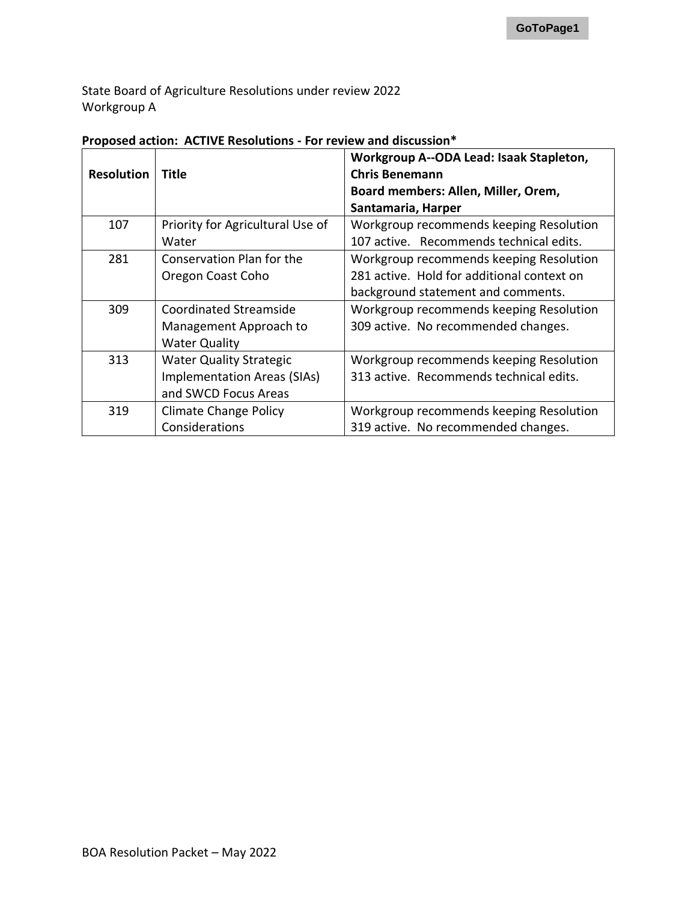State Board of Agriculture Resolutions under review 2022 Workgroup A

| <b>Resolution</b> | Title                                                                                        | Workgroup A--ODA Lead: Isaak Stapleton,<br><b>Chris Benemann</b><br>Board members: Allen, Miller, Orem,                     |
|-------------------|----------------------------------------------------------------------------------------------|-----------------------------------------------------------------------------------------------------------------------------|
|                   |                                                                                              | Santamaria, Harper                                                                                                          |
| 107               | Priority for Agricultural Use of<br>Water                                                    | Workgroup recommends keeping Resolution<br>107 active. Recommends technical edits.                                          |
| 281               | Conservation Plan for the<br>Oregon Coast Coho                                               | Workgroup recommends keeping Resolution<br>281 active. Hold for additional context on<br>background statement and comments. |
| 309               | <b>Coordinated Streamside</b><br>Management Approach to<br><b>Water Quality</b>              | Workgroup recommends keeping Resolution<br>309 active. No recommended changes.                                              |
| 313               | <b>Water Quality Strategic</b><br><b>Implementation Areas (SIAs)</b><br>and SWCD Focus Areas | Workgroup recommends keeping Resolution<br>313 active. Recommends technical edits.                                          |
| 319               | <b>Climate Change Policy</b><br>Considerations                                               | Workgroup recommends keeping Resolution<br>319 active. No recommended changes.                                              |

### **Proposed action: ACTIVE Resolutions - For review and discussion\***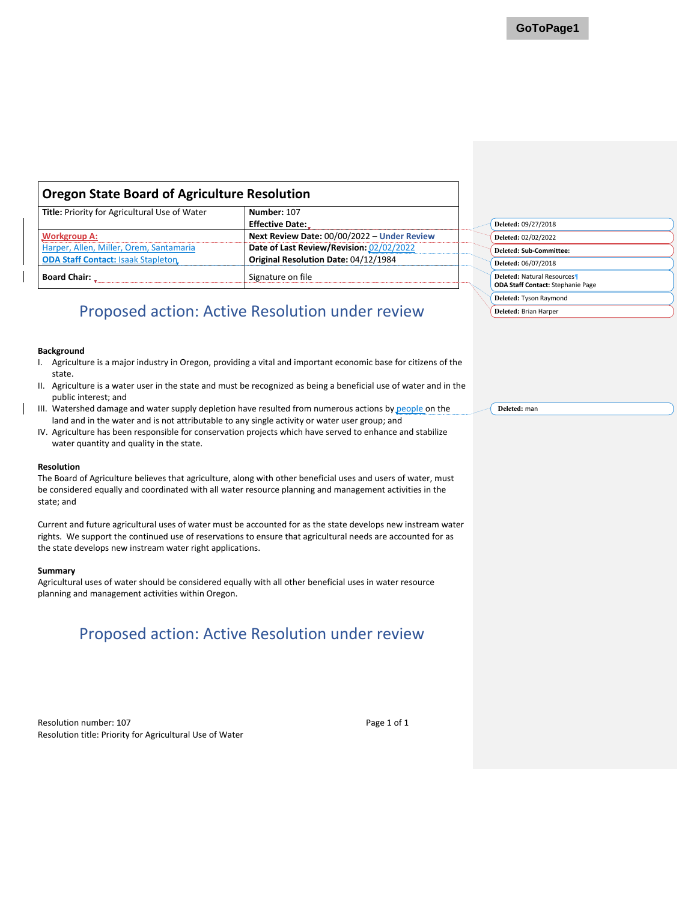### <span id="page-3-0"></span>**Oregon State Board of Agriculture Resolution**

| Title: Priority for Agricultural Use of Water | Number: 107                                 |
|-----------------------------------------------|---------------------------------------------|
|                                               | <b>Effective Date:</b>                      |
| <b>Workgroup A:</b>                           | Next Review Date: 00/00/2022 - Under Review |
| Harper, Allen, Miller, Orem, Santamaria       | Date of Last Review/Revision: 02/02/2022    |
| <b>ODA Staff Contact: Isaak Stapleton</b>     | Original Resolution Date: 04/12/1984        |
| <b>Board Chair:</b>                           | Signature on file                           |

# Proposed action: Active Resolution under review

### **Background**

- I. Agriculture is a major industry in Oregon, providing a vital and important economic base for citizens of the state.
- II. Agriculture is a water user in the state and must be recognized as being a beneficial use of water and in the public interest; and
- III. Watershed damage and water supply depletion have resulted from numerous actions by people on the land and in the water and is not attributable to any single activity or water user group; and
- IV. Agriculture has been responsible for conservation projects which have served to enhance and stabilize water quantity and quality in the state.

#### **Resolution**

The Board of Agriculture believes that agriculture, along with other beneficial uses and users of water, must be considered equally and coordinated with all water resource planning and management activities in the state; and

Current and future agricultural uses of water must be accounted for as the state develops new instream water rights. We support the continued use of reservations to ensure that agricultural needs are accounted for as the state develops new instream water right applications.

#### **Summary**

Agricultural uses of water should be considered equally with all other beneficial uses in water resource planning and management activities within Oregon.

# Proposed action: Active Resolution under review

Resolution number: 107 **Page 1 of 1** Resolution title: Priority for Agricultural Use of Water

| Deleted: 09/27/2018                                                           |  |
|-------------------------------------------------------------------------------|--|
| Deleted: 02/02/2022                                                           |  |
| Deleted: Sub-Committee:                                                       |  |
| Deleted: 06/07/2018                                                           |  |
| <b>Deleted: Natural Resources</b><br><b>ODA Staff Contact:</b> Stephanie Page |  |
| Deleted: Tyson Raymond                                                        |  |
| Deleted: Brian Harper                                                         |  |

**Deleted:** man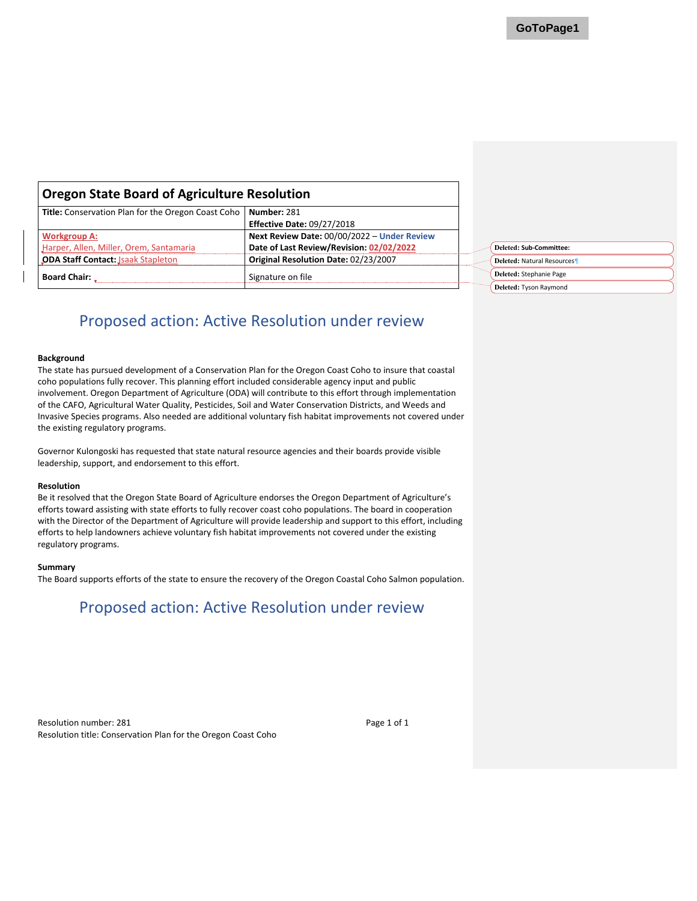**Deleted: Sub-Committee: Deleted:** Natural Resources¶ **Deleted:** Stephanie Page **Deleted:** Tyson Raymond

<span id="page-4-0"></span>

| <b>Oregon State Board of Agriculture Resolution</b> |                                             |  |
|-----------------------------------------------------|---------------------------------------------|--|
| Title: Conservation Plan for the Oregon Coast Coho  | Number: 281                                 |  |
|                                                     | <b>Effective Date: 09/27/2018</b>           |  |
| <b>Workgroup A:</b>                                 | Next Review Date: 00/00/2022 - Under Review |  |
| Harper, Allen, Miller, Orem, Santamaria             | Date of Last Review/Revision: 02/02/2022    |  |
| <b>ODA Staff Contact: Jsaak Stapleton</b>           | Original Resolution Date: 02/23/2007        |  |
| <b>Board Chair:</b>                                 | Signature on file                           |  |

# Proposed action: Active Resolution under review

#### **Background**

The state has pursued development of a Conservation Plan for the Oregon Coast Coho to insure that coastal coho populations fully recover. This planning effort included considerable agency input and public involvement. Oregon Department of Agriculture (ODA) will contribute to this effort through implementation of the CAFO, Agricultural Water Quality, Pesticides, Soil and Water Conservation Districts, and Weeds and Invasive Species programs. Also needed are additional voluntary fish habitat improvements not covered under the existing regulatory programs.

Governor Kulongoski has requested that state natural resource agencies and their boards provide visible leadership, support, and endorsement to this effort.

#### **Resolution**

Be it resolved that the Oregon State Board of Agriculture endorses the Oregon Department of Agriculture's efforts toward assisting with state efforts to fully recover coast coho populations. The board in cooperation with the Director of the Department of Agriculture will provide leadership and support to this effort, including efforts to help landowners achieve voluntary fish habitat improvements not covered under the existing regulatory programs.

#### **Summary**

The Board supports efforts of the state to ensure the recovery of the Oregon Coastal Coho Salmon population.

### Proposed action: Active Resolution under review

Resolution number: 281 **Page 1 of 1** Resolution title: Conservation Plan for the Oregon Coast Coho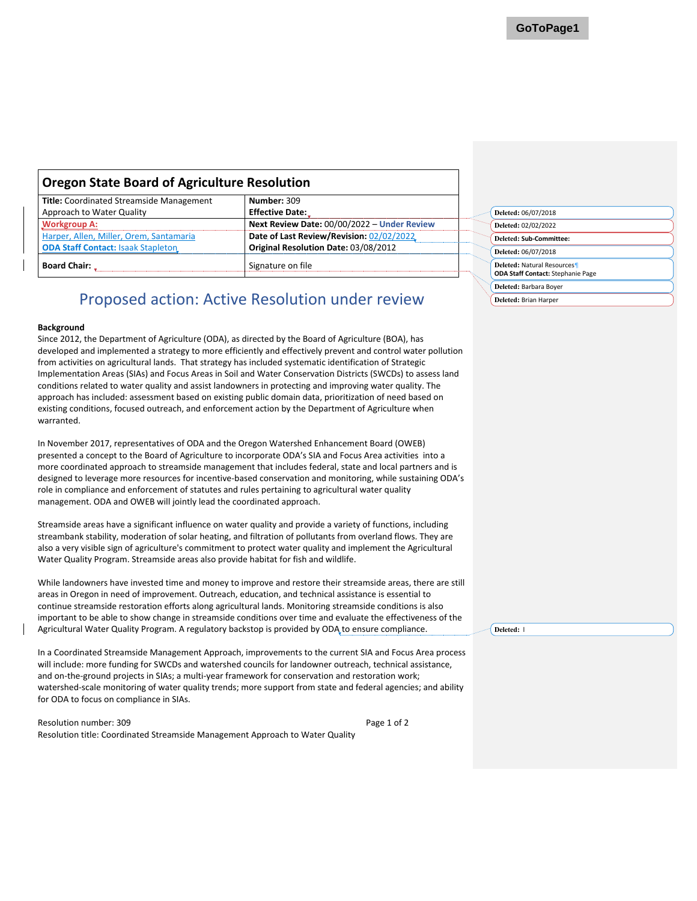<span id="page-5-0"></span>

| <b>Oregon State Board of Agriculture Resolution</b>     |                                             |
|---------------------------------------------------------|---------------------------------------------|
| Title: Coordinated Streamside Management<br>Number: 309 |                                             |
| Approach to Water Quality                               | <b>Effective Date:</b>                      |
| <b>Workgroup A:</b>                                     | Next Review Date: 00/00/2022 - Under Review |
| Harper, Allen, Miller, Orem, Santamaria                 | Date of Last Review/Revision: 02/02/2022    |
| <b>ODA Staff Contact: Isaak Stapleton</b>               | Original Resolution Date: 03/08/2012        |
| <b>Board Chair:</b>                                     | Signature on file                           |

#### **Background**

Since 2012, the Department of Agriculture (ODA), as directed by the Board of Agriculture (BOA), has developed and implemented a strategy to more efficiently and effectively prevent and control water pollution from activities on agricultural lands. That strategy has included systematic identification of Strategic Implementation Areas (SIAs) and Focus Areas in Soil and Water Conservation Districts (SWCDs) to assess land conditions related to water quality and assist landowners in protecting and improving water quality. The approach has included: assessment based on existing public domain data, prioritization of need based on existing conditions, focused outreach, and enforcement action by the Department of Agriculture when warranted.

In November 2017, representatives of ODA and the Oregon Watershed Enhancement Board (OWEB) presented a concept to the Board of Agriculture to incorporate ODA's SIA and Focus Area activities into a more coordinated approach to streamside management that includes federal, state and local partners and is designed to leverage more resources for incentive-based conservation and monitoring, while sustaining ODA's role in compliance and enforcement of statutes and rules pertaining to agricultural water quality management. ODA and OWEB will jointly lead the coordinated approach.

Streamside areas have a significant influence on water quality and provide a variety of functions, including streambank stability, moderation of solar heating, and filtration of pollutants from overland flows. They are also a very visible sign of agriculture's commitment to protect water quality and implement the Agricultural Water Quality Program. Streamside areas also provide habitat for fish and wildlife.

While landowners have invested time and money to improve and restore their streamside areas, there are still areas in Oregon in need of improvement. Outreach, education, and technical assistance is essential to continue streamside restoration efforts along agricultural lands. Monitoring streamside conditions is also important to be able to show change in streamside conditions over time and evaluate the effectiveness of the Agricultural Water Quality Program. A regulatory backstop is provided by ODA to ensure compliance.

In a Coordinated Streamside Management Approach, improvements to the current SIA and Focus Area process will include: more funding for SWCDs and watershed councils for landowner outreach, technical assistance, and on-the-ground projects in SIAs; a multi-year framework for conservation and restoration work; watershed-scale monitoring of water quality trends; more support from state and federal agencies; and ability for ODA to focus on compliance in SIAs.

Resolution number: 309 Page 1 of 2 Resolution title: Coordinated Streamside Management Approach to Water Quality

| Deleted: 06/07/2018                                                           |  |
|-------------------------------------------------------------------------------|--|
| Deleted: 02/02/2022                                                           |  |
| Deleted: Sub-Committee:                                                       |  |
| Deleted: 06/07/2018                                                           |  |
| <b>Deleted: Natural Resources</b><br><b>ODA Staff Contact:</b> Stephanie Page |  |
| Deleted: Barbara Boyer                                                        |  |
| Deleted: Brian Harper                                                         |  |

**Deleted:** l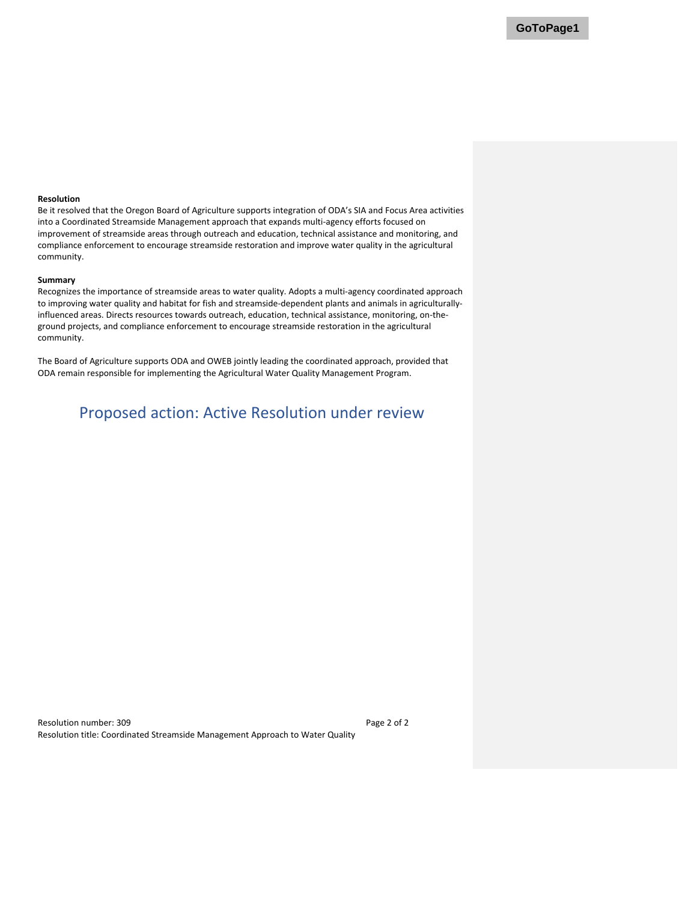### **Resolution**

Be it resolved that the Oregon Board of Agriculture supports integration of ODA's SIA and Focus Area activities into a Coordinated Streamside Management approach that expands multi-agency efforts focused on improvement of streamside areas through outreach and education, technical assistance and monitoring, and compliance enforcement to encourage streamside restoration and improve water quality in the agricultural community.

#### **Summary**

Recognizes the importance of streamside areas to water quality. Adopts a multi-agency coordinated approach to improving water quality and habitat for fish and streamside-dependent plants and animals in agriculturallyinfluenced areas. Directs resources towards outreach, education, technical assistance, monitoring, on-theground projects, and compliance enforcement to encourage streamside restoration in the agricultural community.

The Board of Agriculture supports ODA and OWEB jointly leading the coordinated approach, provided that ODA remain responsible for implementing the Agricultural Water Quality Management Program.

### Proposed action: Active Resolution under review

Resolution number: 309 Page 2 of 2 Resolution title: Coordinated Streamside Management Approach to Water Quality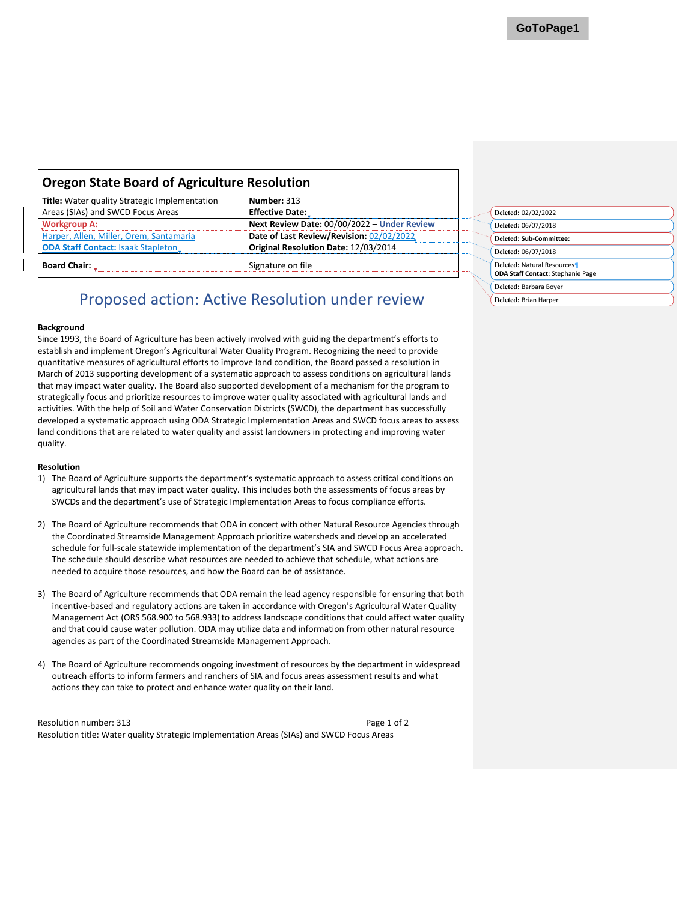<span id="page-7-0"></span>

| <b>Oregon State Board of Agriculture Resolution</b>                 |                                             |
|---------------------------------------------------------------------|---------------------------------------------|
| Number: 313<br><b>Title:</b> Water quality Strategic Implementation |                                             |
| Areas (SIAs) and SWCD Focus Areas                                   | <b>Effective Date:</b>                      |
| <b>Workgroup A:</b>                                                 | Next Review Date: 00/00/2022 - Under Review |
| Harper, Allen, Miller, Orem, Santamaria                             | Date of Last Review/Revision: 02/02/2022    |
| <b>ODA Staff Contact: Isaak Stapleton_</b>                          | Original Resolution Date: 12/03/2014        |
| <b>Board Chair:</b>                                                 | Signature on file                           |

#### **Background**

Since 1993, the Board of Agriculture has been actively involved with guiding the department's efforts to establish and implement Oregon's Agricultural Water Quality Program. Recognizing the need to provide quantitative measures of agricultural efforts to improve land condition, the Board passed a resolution in March of 2013 supporting development of a systematic approach to assess conditions on agricultural lands that may impact water quality. The Board also supported development of a mechanism for the program to strategically focus and prioritize resources to improve water quality associated with agricultural lands and activities. With the help of Soil and Water Conservation Districts (SWCD), the department has successfully developed a systematic approach using ODA Strategic Implementation Areas and SWCD focus areas to assess land conditions that are related to water quality and assist landowners in protecting and improving water quality.

#### **Resolution**

- 1) The Board of Agriculture supports the department's systematic approach to assess critical conditions on agricultural lands that may impact water quality. This includes both the assessments of focus areas by SWCDs and the department's use of Strategic Implementation Areas to focus compliance efforts.
- 2) The Board of Agriculture recommends that ODA in concert with other Natural Resource Agencies through the Coordinated Streamside Management Approach prioritize watersheds and develop an accelerated schedule for full-scale statewide implementation of the department's SIA and SWCD Focus Area approach. The schedule should describe what resources are needed to achieve that schedule, what actions are needed to acquire those resources, and how the Board can be of assistance.
- 3) The Board of Agriculture recommends that ODA remain the lead agency responsible for ensuring that both incentive-based and regulatory actions are taken in accordance with Oregon's Agricultural Water Quality Management Act (ORS 568.900 to 568.933) to address landscape conditions that could affect water quality and that could cause water pollution. ODA may utilize data and information from other natural resource agencies as part of the Coordinated Streamside Management Approach.
- 4) The Board of Agriculture recommends ongoing investment of resources by the department in widespread outreach efforts to inform farmers and ranchers of SIA and focus areas assessment results and what actions they can take to protect and enhance water quality on their land.

Resolution number: 313 Page 1 of 2 Resolution title: Water quality Strategic Implementation Areas (SIAs) and SWCD Focus Areas

| Deleted: 02/02/2022                                                           |
|-------------------------------------------------------------------------------|
| Deleted: 06/07/2018                                                           |
| Deleted: Sub-Committee:                                                       |
| Deleted: 06/07/2018                                                           |
| <b>Deleted: Natural Resources</b><br><b>ODA Staff Contact:</b> Stephanie Page |
| Deleted: Barbara Boyer                                                        |
| Deleted: Brian Harper                                                         |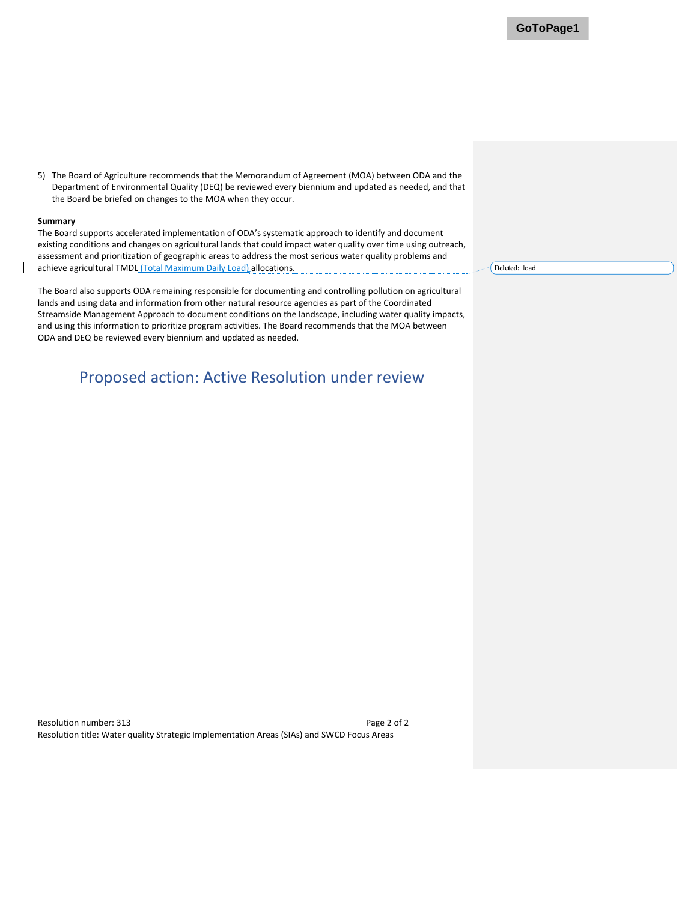5) The Board of Agriculture recommends that the Memorandum of Agreement (MOA) between ODA and the Department of Environmental Quality (DEQ) be reviewed every biennium and updated as needed, and that the Board be briefed on changes to the MOA when they occur.

#### **Summary**

The Board supports accelerated implementation of ODA's systematic approach to identify and document existing conditions and changes on agricultural lands that could impact water quality over time using outreach, assessment and prioritization of geographic areas to address the most serious water quality problems and achieve agricultural TMDL (Total Maximum Daily Load) allocations.

The Board also supports ODA remaining responsible for documenting and controlling pollution on agricultural lands and using data and information from other natural resource agencies as part of the Coordinated Streamside Management Approach to document conditions on the landscape, including water quality impacts, and using this information to prioritize program activities. The Board recommends that the MOA between ODA and DEQ be reviewed every biennium and updated as needed.

### Proposed action: Active Resolution under review

**Deleted:** load

Resolution number: 313 Page 2 of 2 Resolution title: Water quality Strategic Implementation Areas (SIAs) and SWCD Focus Areas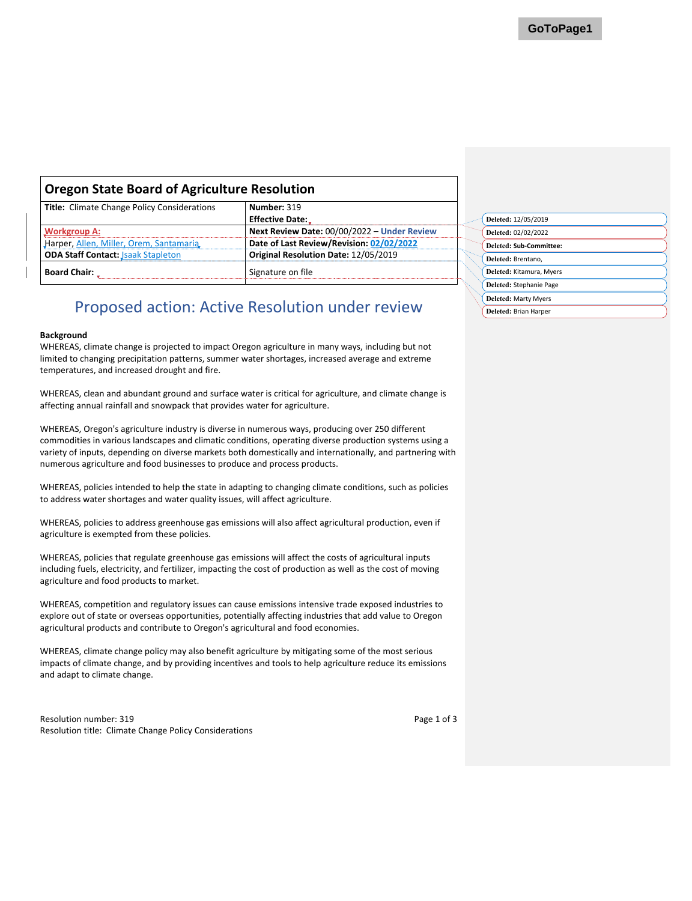### <span id="page-9-0"></span>**Oregon State Board of Agriculture Resolution**

| <b>Title:</b> Climate Change Policy Considerations | Number: 319                                 |
|----------------------------------------------------|---------------------------------------------|
|                                                    | <b>Effective Date:</b>                      |
| <b>Workgroup A:</b>                                | Next Review Date: 00/00/2022 - Under Review |
| Harper, Allen, Miller, Orem, Santamaria            | Date of Last Review/Revision: 02/02/2022    |
| <b>ODA Staff Contact: Jsaak Stapleton</b>          | Original Resolution Date: 12/05/2019        |
| <b>Board Chair:</b>                                | Signature on file                           |

### Proposed action: Active Resolution under review

#### **Background**

WHEREAS, climate change is projected to impact Oregon agriculture in many ways, including but not limited to changing precipitation patterns, summer water shortages, increased average and extreme temperatures, and increased drought and fire.

WHEREAS, clean and abundant ground and surface water is critical for agriculture, and climate change is affecting annual rainfall and snowpack that provides water for agriculture.

WHEREAS, Oregon's agriculture industry is diverse in numerous ways, producing over 250 different commodities in various landscapes and climatic conditions, operating diverse production systems using a variety of inputs, depending on diverse markets both domestically and internationally, and partnering with numerous agriculture and food businesses to produce and process products.

WHEREAS, policies intended to help the state in adapting to changing climate conditions, such as policies to address water shortages and water quality issues, will affect agriculture.

WHEREAS, policies to address greenhouse gas emissions will also affect agricultural production, even if agriculture is exempted from these policies.

WHEREAS, policies that regulate greenhouse gas emissions will affect the costs of agricultural inputs including fuels, electricity, and fertilizer, impacting the cost of production as well as the cost of moving agriculture and food products to market.

WHEREAS, competition and regulatory issues can cause emissions intensive trade exposed industries to explore out of state or overseas opportunities, potentially affecting industries that add value to Oregon agricultural products and contribute to Oregon's agricultural and food economies.

WHEREAS, climate change policy may also benefit agriculture by mitigating some of the most serious impacts of climate change, and by providing incentives and tools to help agriculture reduce its emissions and adapt to climate change.

Resolution number: 319 Resolution title: Climate Change Policy Considerations Page 1 of 3

| Deleted: 12/05/2019      |
|--------------------------|
| Deleted: 02/02/2022      |
| Deleted: Sub-Committee:  |
| Deleted: Brentano,       |
| Deleted: Kitamura, Myers |
| Deleted: Stephanie Page  |
| Deleted: Marty Myers     |
| Deleted: Brian Harper    |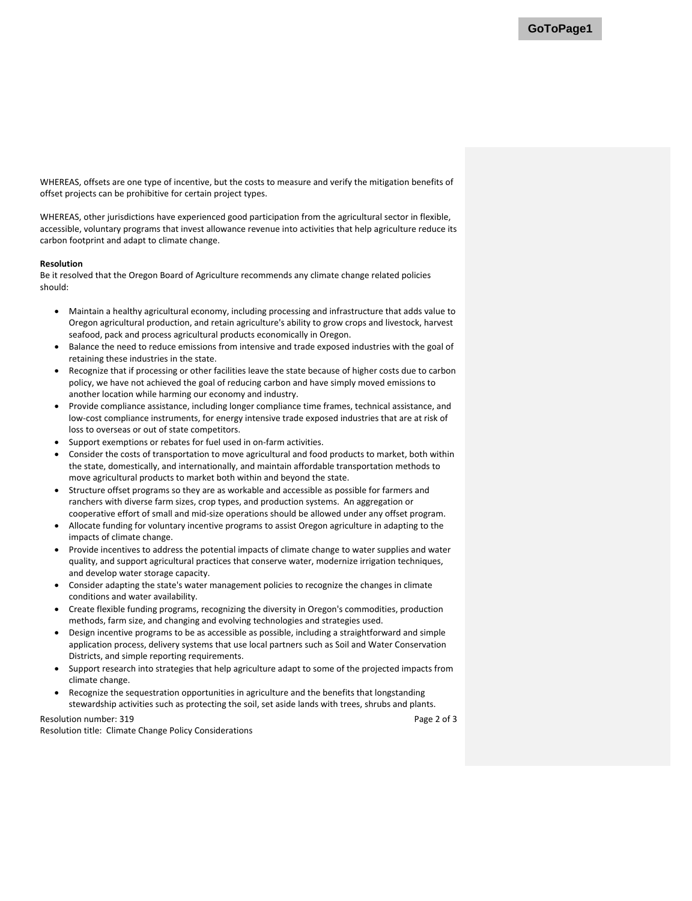WHEREAS, offsets are one type of incentive, but the costs to measure and verify the mitigation benefits of offset projects can be prohibitive for certain project types.

WHEREAS, other jurisdictions have experienced good participation from the agricultural sector in flexible, accessible, voluntary programs that invest allowance revenue into activities that help agriculture reduce its carbon footprint and adapt to climate change.

#### **Resolution**

Be it resolved that the Oregon Board of Agriculture recommends any climate change related policies should:

- Maintain a healthy agricultural economy, including processing and infrastructure that adds value to Oregon agricultural production, and retain agriculture's ability to grow crops and livestock, harvest seafood, pack and process agricultural products economically in Oregon.
- Balance the need to reduce emissions from intensive and trade exposed industries with the goal of retaining these industries in the state.
- Recognize that if processing or other facilities leave the state because of higher costs due to carbon policy, we have not achieved the goal of reducing carbon and have simply moved emissions to another location while harming our economy and industry.
- Provide compliance assistance, including longer compliance time frames, technical assistance, and low-cost compliance instruments, for energy intensive trade exposed industries that are at risk of loss to overseas or out of state competitors.
- Support exemptions or rebates for fuel used in on-farm activities.
- Consider the costs of transportation to move agricultural and food products to market, both within the state, domestically, and internationally, and maintain affordable transportation methods to move agricultural products to market both within and beyond the state.
- Structure offset programs so they are as workable and accessible as possible for farmers and ranchers with diverse farm sizes, crop types, and production systems. An aggregation or cooperative effort of small and mid-size operations should be allowed under any offset program.
- Allocate funding for voluntary incentive programs to assist Oregon agriculture in adapting to the impacts of climate change.
- Provide incentives to address the potential impacts of climate change to water supplies and water quality, and support agricultural practices that conserve water, modernize irrigation techniques, and develop water storage capacity.
- Consider adapting the state's water management policies to recognize the changes in climate conditions and water availability.
- Create flexible funding programs, recognizing the diversity in Oregon's commodities, production methods, farm size, and changing and evolving technologies and strategies used.
- Design incentive programs to be as accessible as possible, including a straightforward and simple application process, delivery systems that use local partners such as Soil and Water Conservation Districts, and simple reporting requirements.
- Support research into strategies that help agriculture adapt to some of the projected impacts from climate change.
- Recognize the sequestration opportunities in agriculture and the benefits that longstanding stewardship activities such as protecting the soil, set aside lands with trees, shrubs and plants.

Resolution number: 319

Resolution title: Climate Change Policy Considerations

Page 2 of 3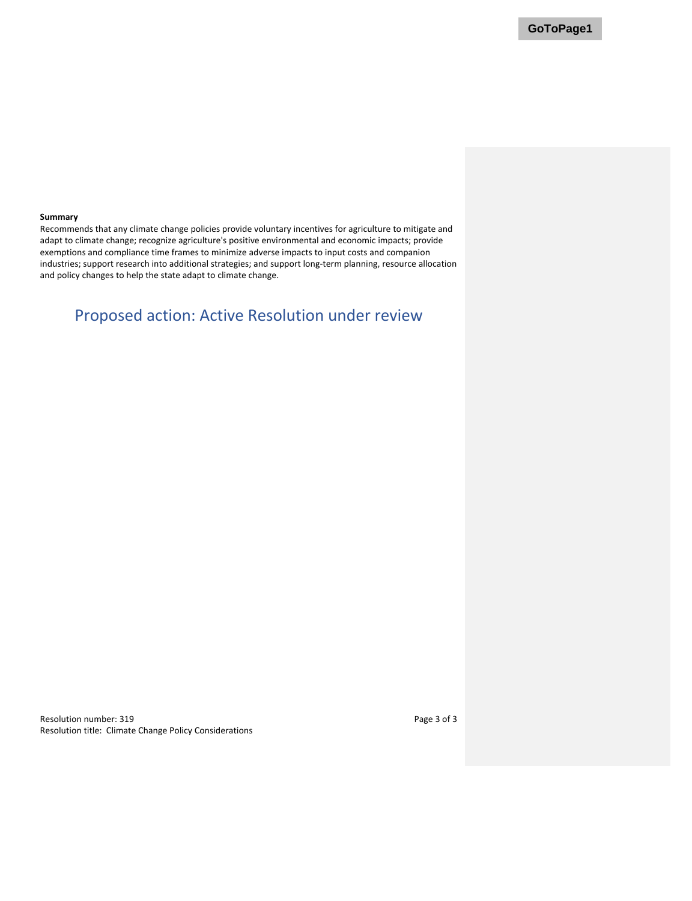#### **Summary**

Recommends that any climate change policies provide voluntary incentives for agriculture to mitigate and adapt to climate change; recognize agriculture's positive environmental and economic impacts; provide exemptions and compliance time frames to minimize adverse impacts to input costs and companion industries; support research into additional strategies; and support long-term planning, resource allocation and policy changes to help the state adapt to climate change.

# Proposed action: Active Resolution under review

Resolution number: 319 Resolution title: Climate Change Policy Considerations Page 3 of 3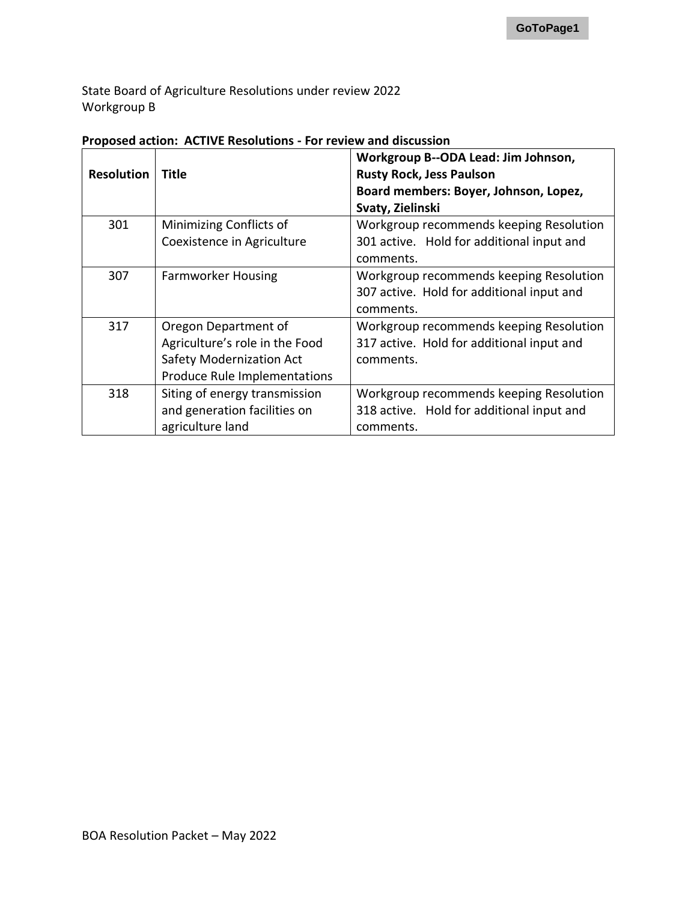State Board of Agriculture Resolutions under review 2022 Workgroup B

| <b>Resolution</b> | Title                                                                                                                     | Workgroup B--ODA Lead: Jim Johnson,<br><b>Rusty Rock, Jess Paulson</b><br>Board members: Boyer, Johnson, Lopez,<br>Svaty, Zielinski |
|-------------------|---------------------------------------------------------------------------------------------------------------------------|-------------------------------------------------------------------------------------------------------------------------------------|
| 301               | Minimizing Conflicts of<br>Coexistence in Agriculture                                                                     | Workgroup recommends keeping Resolution<br>301 active. Hold for additional input and<br>comments.                                   |
| 307               | <b>Farmworker Housing</b>                                                                                                 | Workgroup recommends keeping Resolution<br>307 active. Hold for additional input and<br>comments.                                   |
| 317               | Oregon Department of<br>Agriculture's role in the Food<br><b>Safety Modernization Act</b><br>Produce Rule Implementations | Workgroup recommends keeping Resolution<br>317 active. Hold for additional input and<br>comments.                                   |
| 318               | Siting of energy transmission<br>and generation facilities on<br>agriculture land                                         | Workgroup recommends keeping Resolution<br>318 active. Hold for additional input and<br>comments.                                   |

### **Proposed action: ACTIVE Resolutions - For review and discussion**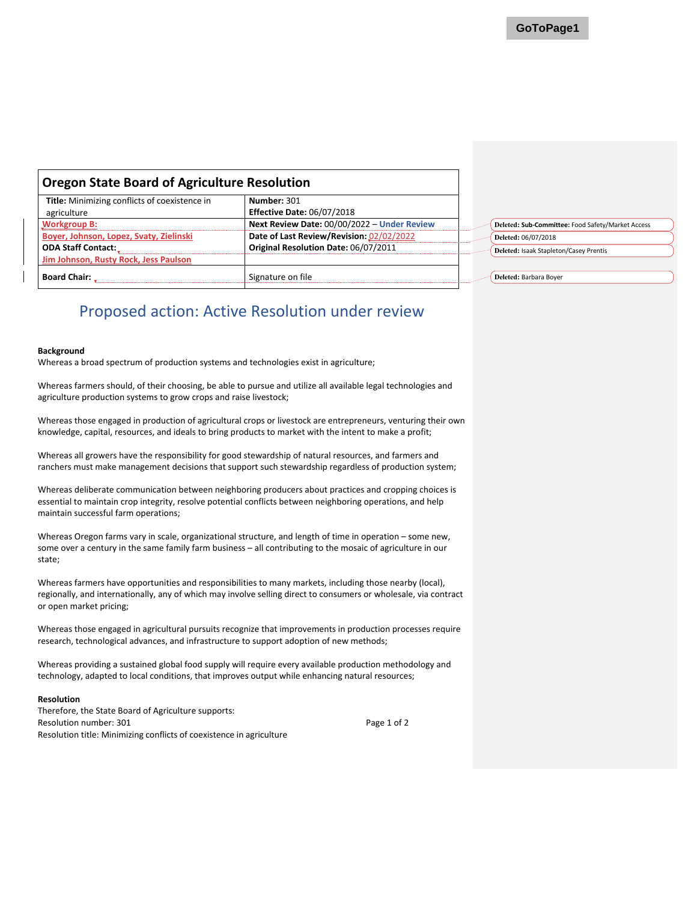<span id="page-13-0"></span>

| <b>Oregon State Board of Agriculture Resolution</b> |                                                                                  |  |                                                   |
|-----------------------------------------------------|----------------------------------------------------------------------------------|--|---------------------------------------------------|
| Title: Minimizing conflicts of coexistence in       | Number: 301                                                                      |  |                                                   |
| agriculture<br><b>Workgroup B:</b>                  | <b>Effective Date: 06/07/2018</b><br>Next Review Date: 00/00/2022 - Under Review |  | Deleted: Sub-Committee: Food Safety/Market Access |
| Boyer, Johnson, Lopez, Svaty, Zielinski             | Date of Last Review/Revision: 02/02/2022                                         |  | Deleted: 06/07/2018                               |
| <b>ODA Staff Contact:</b>                           | Original Resolution Date: 06/07/2011                                             |  | Deleted: Isaak Stapleton/Casey Prentis            |
| Jim Johnson, Rusty Rock, Jess Paulson               |                                                                                  |  |                                                   |
| <b>Board Chair:</b>                                 | Signature on file                                                                |  | Deleted: Barbara Boyer                            |

#### **Background**

Whereas a broad spectrum of production systems and technologies exist in agriculture;

Whereas farmers should, of their choosing, be able to pursue and utilize all available legal technologies and agriculture production systems to grow crops and raise livestock;

Whereas those engaged in production of agricultural crops or livestock are entrepreneurs, venturing their own knowledge, capital, resources, and ideals to bring products to market with the intent to make a profit;

Whereas all growers have the responsibility for good stewardship of natural resources, and farmers and ranchers must make management decisions that support such stewardship regardless of production system;

Whereas deliberate communication between neighboring producers about practices and cropping choices is essential to maintain crop integrity, resolve potential conflicts between neighboring operations, and help maintain successful farm operations;

Whereas Oregon farms vary in scale, organizational structure, and length of time in operation – some new, some over a century in the same family farm business – all contributing to the mosaic of agriculture in our state;

Whereas farmers have opportunities and responsibilities to many markets, including those nearby (local), regionally, and internationally, any of which may involve selling direct to consumers or wholesale, via contract or open market pricing;

Whereas those engaged in agricultural pursuits recognize that improvements in production processes require research, technological advances, and infrastructure to support adoption of new methods;

Whereas providing a sustained global food supply will require every available production methodology and technology, adapted to local conditions, that improves output while enhancing natural resources;

### **Resolution**

Resolution number: 301 **Page 1 of 2** Page 1 of 2 Resolution title: Minimizing conflicts of coexistence in agriculture Therefore, the State Board of Agriculture supports: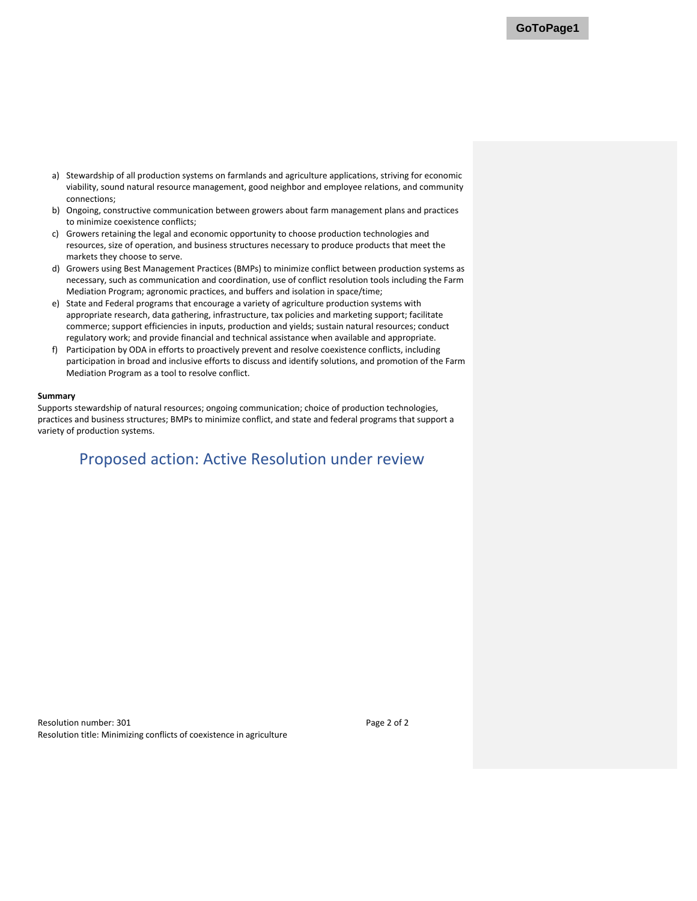- a) Stewardship of all production systems on farmlands and agriculture applications, striving for economic viability, sound natural resource management, good neighbor and employee relations, and community connections;
- b) Ongoing, constructive communication between growers about farm management plans and practices to minimize coexistence conflicts;
- c) Growers retaining the legal and economic opportunity to choose production technologies and resources, size of operation, and business structures necessary to produce products that meet the markets they choose to serve.
- d) Growers using Best Management Practices (BMPs) to minimize conflict between production systems as necessary, such as communication and coordination, use of conflict resolution tools including the Farm Mediation Program; agronomic practices, and buffers and isolation in space/time;
- e) State and Federal programs that encourage a variety of agriculture production systems with appropriate research, data gathering, infrastructure, tax policies and marketing support; facilitate commerce; support efficiencies in inputs, production and yields; sustain natural resources; conduct regulatory work; and provide financial and technical assistance when available and appropriate.
- f) Participation by ODA in efforts to proactively prevent and resolve coexistence conflicts, including participation in broad and inclusive efforts to discuss and identify solutions, and promotion of the Farm Mediation Program as a tool to resolve conflict.

### **Summary**

Supports stewardship of natural resources; ongoing communication; choice of production technologies, practices and business structures; BMPs to minimize conflict, and state and federal programs that support a variety of production systems.

### Proposed action: Active Resolution under review

Resolution number: 301 **Page 2 of 2** Resolution title: Minimizing conflicts of coexistence in agriculture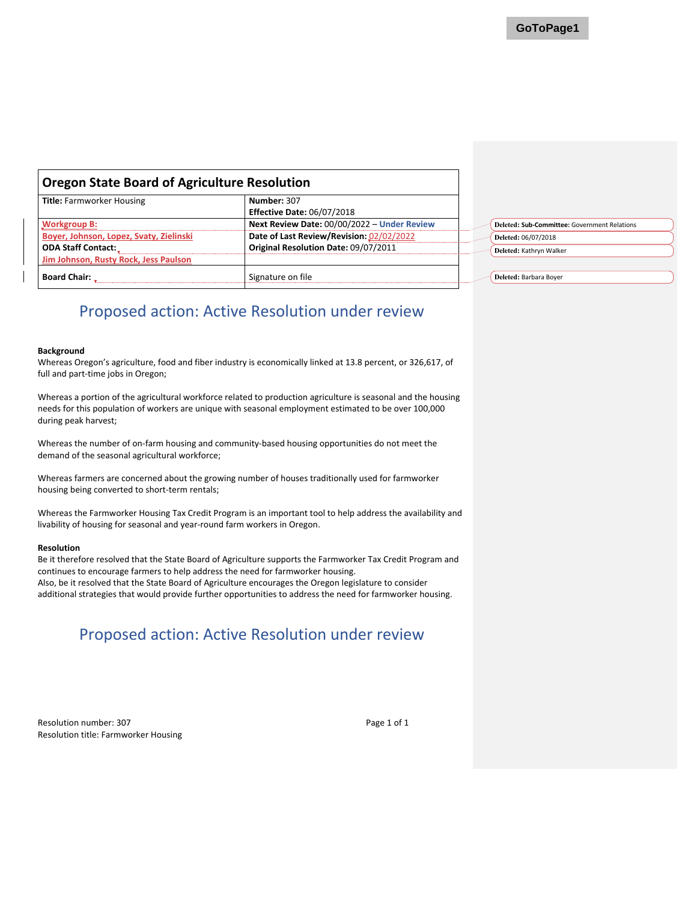<span id="page-15-0"></span>

| <b>Oregon State Board of Agriculture Resolution</b> |                                             |  |                                              |
|-----------------------------------------------------|---------------------------------------------|--|----------------------------------------------|
| <b>Title: Farmworker Housing</b>                    | Number: 307                                 |  |                                              |
|                                                     | <b>Effective Date: 06/07/2018</b>           |  |                                              |
| <b>Workgroup B:</b>                                 | Next Review Date: 00/00/2022 - Under Review |  | Deleted: Sub-Committee: Government Relations |
| Boyer, Johnson, Lopez, Svaty, Zielinski             | Date of Last Review/Revision: 02/02/2022    |  | Deleted: 06/07/2018                          |
| <b>ODA Staff Contact:</b>                           | Original Resolution Date: 09/07/2011        |  | Deleted: Kathryn Walker                      |
| Jim Johnson, Rusty Rock, Jess Paulson               |                                             |  |                                              |
| <b>Board Chair:</b>                                 | Signature on file                           |  | Deleted: Barbara Boyer                       |

#### **Background**

Whereas Oregon's agriculture, food and fiber industry is economically linked at 13.8 percent, or 326,617, of full and part-time jobs in Oregon;

Whereas a portion of the agricultural workforce related to production agriculture is seasonal and the housing needs for this population of workers are unique with seasonal employment estimated to be over 100,000 during peak harvest;

Whereas the number of on-farm housing and community-based housing opportunities do not meet the demand of the seasonal agricultural workforce;

Whereas farmers are concerned about the growing number of houses traditionally used for farmworker housing being converted to short-term rentals;

Whereas the Farmworker Housing Tax Credit Program is an important tool to help address the availability and livability of housing for seasonal and year-round farm workers in Oregon.

#### **Resolution**

Be it therefore resolved that the State Board of Agriculture supports the Farmworker Tax Credit Program and continues to encourage farmers to help address the need for farmworker housing. Also, be it resolved that the State Board of Agriculture encourages the Oregon legislature to consider additional strategies that would provide further opportunities to address the need for farmworker housing.

# Proposed action: Active Resolution under review

Resolution number: 307 Page 1 of 1 Resolution title: Farmworker Housing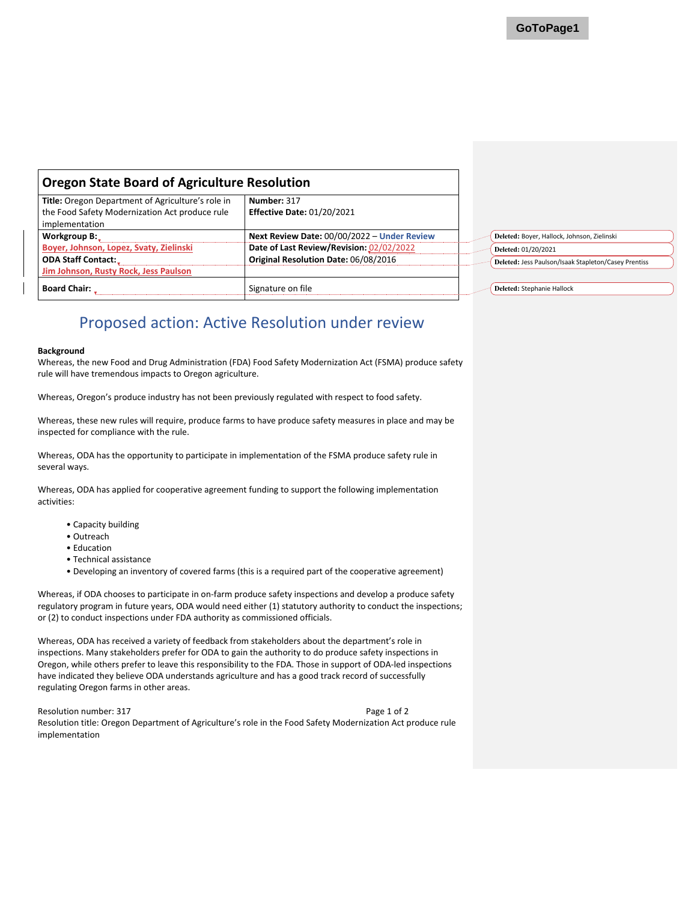<span id="page-16-0"></span>

| <b>Oregon State Board of Agriculture Resolution</b>                                                                   |                                                  |  |                                                      |
|-----------------------------------------------------------------------------------------------------------------------|--------------------------------------------------|--|------------------------------------------------------|
| Title: Oregon Department of Agriculture's role in<br>the Food Safety Modernization Act produce rule<br>implementation | Number: 317<br><b>Effective Date: 01/20/2021</b> |  |                                                      |
| Workgroup B:                                                                                                          | Next Review Date: 00/00/2022 - Under Review      |  | Deleted: Boyer, Hallock, Johnson, Zielinski          |
| Boyer, Johnson, Lopez, Svaty, Zielinski                                                                               | Date of Last Review/Revision: 02/02/2022         |  | Deleted: 01/20/2021                                  |
| <b>ODA Staff Contact:</b><br>Jim Johnson, Rusty Rock, Jess Paulson                                                    | Original Resolution Date: 06/08/2016             |  | Deleted: Jess Paulson/Isaak Stapleton/Casey Prentiss |
| <b>Board Chair:</b>                                                                                                   | Signature on file                                |  | Deleted: Stephanie Hallock                           |

#### **Background**

Whereas, the new Food and Drug Administration (FDA) Food Safety Modernization Act (FSMA) produce safety rule will have tremendous impacts to Oregon agriculture.

Whereas, Oregon's produce industry has not been previously regulated with respect to food safety.

Whereas, these new rules will require, produce farms to have produce safety measures in place and may be inspected for compliance with the rule.

Whereas, ODA has the opportunity to participate in implementation of the FSMA produce safety rule in several ways.

Whereas, ODA has applied for cooperative agreement funding to support the following implementation activities:

- Capacity building
- Outreach
- Education
- Technical assistance
- Developing an inventory of covered farms (this is a required part of the cooperative agreement)

Whereas, if ODA chooses to participate in on-farm produce safety inspections and develop a produce safety regulatory program in future years, ODA would need either (1) statutory authority to conduct the inspections; or (2) to conduct inspections under FDA authority as commissioned officials.

Whereas, ODA has received a variety of feedback from stakeholders about the department's role in inspections. Many stakeholders prefer for ODA to gain the authority to do produce safety inspections in Oregon, while others prefer to leave this responsibility to the FDA. Those in support of ODA-led inspections have indicated they believe ODA understands agriculture and has a good track record of successfully regulating Oregon farms in other areas.

Resolution number: 317 Page 1 of 2 Resolution title: Oregon Department of Agriculture's role in the Food Safety Modernization Act produce rule implementation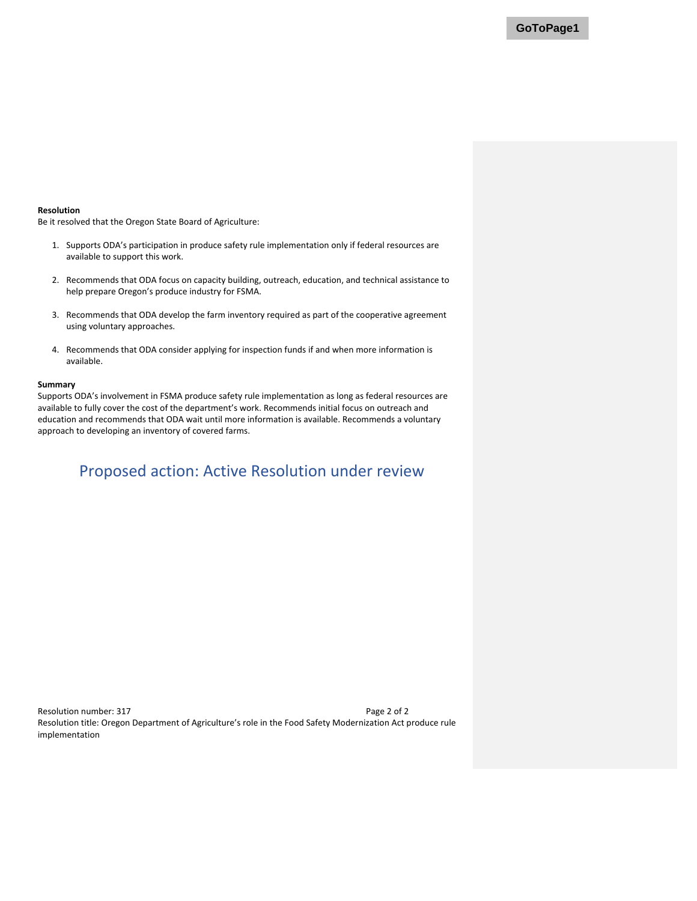#### **Resolution**

Be it resolved that the Oregon State Board of Agriculture:

- 1. Supports ODA's participation in produce safety rule implementation only if federal resources are available to support this work.
- 2. Recommends that ODA focus on capacity building, outreach, education, and technical assistance to help prepare Oregon's produce industry for FSMA.
- 3. Recommends that ODA develop the farm inventory required as part of the cooperative agreement using voluntary approaches.
- 4. Recommends that ODA consider applying for inspection funds if and when more information is available.

### **Summary**

Supports ODA's involvement in FSMA produce safety rule implementation as long as federal resources are available to fully cover the cost of the department's work. Recommends initial focus on outreach and education and recommends that ODA wait until more information is available. Recommends a voluntary approach to developing an inventory of covered farms.

# Proposed action: Active Resolution under review

Resolution number: 317 Page 2 of 2 Resolution title: Oregon Department of Agriculture's role in the Food Safety Modernization Act produce rule implementation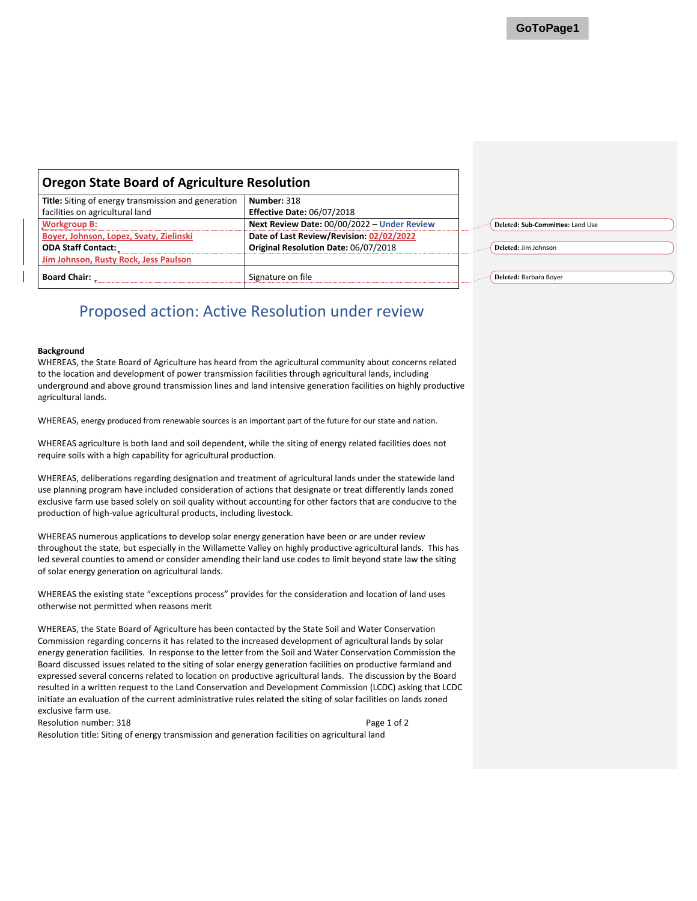<span id="page-18-0"></span>

| <b>Oregon State Board of Agriculture Resolution</b> |                                             |  |                                  |
|-----------------------------------------------------|---------------------------------------------|--|----------------------------------|
| Title: Siting of energy transmission and generation | Number: 318                                 |  |                                  |
| facilities on agricultural land                     | <b>Effective Date: 06/07/2018</b>           |  |                                  |
| <b>Workgroup B:</b>                                 | Next Review Date: 00/00/2022 - Under Review |  | Deleted: Sub-Committee: Land Use |
| Boyer, Johnson, Lopez, Svaty, Zielinski             | Date of Last Review/Revision: 02/02/2022    |  |                                  |
| <b>ODA Staff Contact:</b>                           | Original Resolution Date: 06/07/2018        |  | Deleted: Jim Johnson             |
| Jim Johnson, Rusty Rock, Jess Paulson               |                                             |  |                                  |
| <b>Board Chair:</b>                                 | Signature on file                           |  | Deleted: Barbara Boyer           |

#### **Background**

WHEREAS, the State Board of Agriculture has heard from the agricultural community about concerns related to the location and development of power transmission facilities through agricultural lands, including underground and above ground transmission lines and land intensive generation facilities on highly productive agricultural lands.

WHEREAS, energy produced from renewable sources is an important part of the future for our state and nation.

WHEREAS agriculture is both land and soil dependent, while the siting of energy related facilities does not require soils with a high capability for agricultural production.

WHEREAS, deliberations regarding designation and treatment of agricultural lands under the statewide land use planning program have included consideration of actions that designate or treat differently lands zoned exclusive farm use based solely on soil quality without accounting for other factors that are conducive to the production of high-value agricultural products, including livestock.

WHEREAS numerous applications to develop solar energy generation have been or are under review throughout the state, but especially in the Willamette Valley on highly productive agricultural lands. This has led several counties to amend or consider amending their land use codes to limit beyond state law the siting of solar energy generation on agricultural lands.

WHEREAS the existing state "exceptions process" provides for the consideration and location of land uses otherwise not permitted when reasons merit

WHEREAS, the State Board of Agriculture has been contacted by the State Soil and Water Conservation Commission regarding concerns it has related to the increased development of agricultural lands by solar energy generation facilities. In response to the letter from the Soil and Water Conservation Commission the Board discussed issues related to the siting of solar energy generation facilities on productive farmland and expressed several concerns related to location on productive agricultural lands. The discussion by the Board resulted in a written request to the Land Conservation and Development Commission (LCDC) asking that LCDC initiate an evaluation of the current administrative rules related the siting of solar facilities on lands zoned exclusive farm use.

Resolution number: 318 Page 1 of 2

Resolution title: Siting of energy transmission and generation facilities on agricultural land